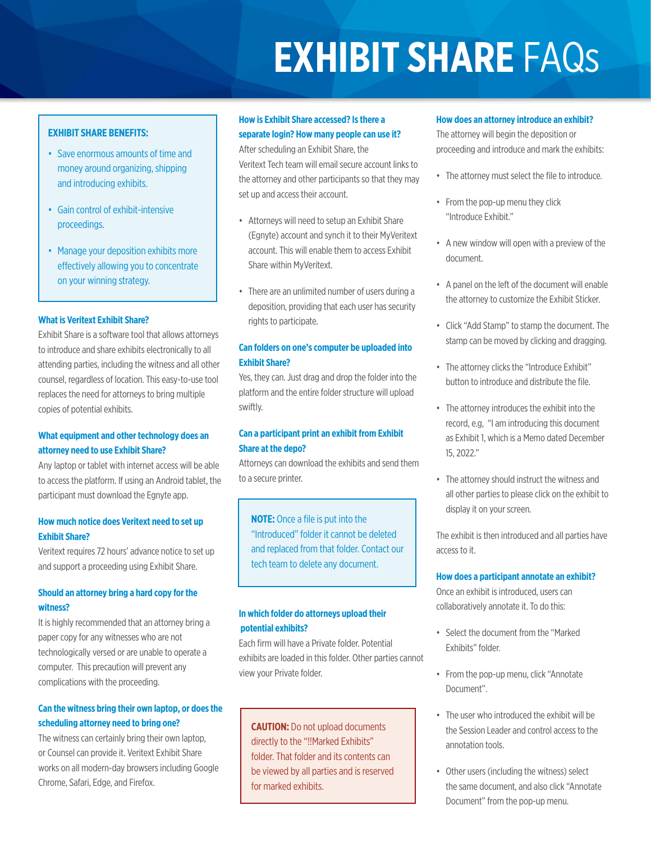# **EXHIBIT SHARE** FAQs

#### **EXHIBIT SHARE BENEFITS:**

- Save enormous amounts of time and money around organizing, shipping and introducing exhibits.
- Gain control of exhibit-intensive proceedings.
- Manage your deposition exhibits more effectively allowing you to concentrate on your winning strategy.

#### **What is Veritext Exhibit Share?**

Exhibit Share is a software tool that allows attorneys to introduce and share exhibits electronically to all attending parties, including the witness and all other counsel, regardless of location. This easy-to-use tool replaces the need for attorneys to bring multiple copies of potential exhibits.

## **What equipment and other technology does an attorney need to use Exhibit Share?**

Any laptop or tablet with internet access will be able to access the platform. If using an Android tablet, the participant must download the Egnyte app.

#### **How much notice does Veritext need to set up Exhibit Share?**

Veritext requires 72 hours' advance notice to set up and support a proceeding using Exhibit Share.

#### **Should an attorney bring a hard copy for the witness?**

It is highly recommended that an attorney bring a paper copy for any witnesses who are not technologically versed or are unable to operate a computer. This precaution will prevent any complications with the proceeding.

# **Can the witness bring their own laptop, or does the scheduling attorney need to bring one?**

The witness can certainly bring their own laptop, or Counsel can provide it. Veritext Exhibit Share works on all modern-day browsers including Google Chrome, Safari, Edge, and Firefox.

# **How is Exhibit Share accessed? Is there a separate login? How many people can use it?**

After scheduling an Exhibit Share, the Veritext Tech team will email secure account links to the attorney and other participants so that they may set up and access their account.

- Attorneys will need to setup an Exhibit Share (Egnyte) account and synch it to their MyVeritext account. This will enable them to access Exhibit Share within MyVeritext.
- There are an unlimited number of users during a deposition, providing that each user has security rights to participate.

# **Can folders on one's computer be uploaded into Exhibit Share?**

Yes, they can. Just drag and drop the folder into the platform and the entire folder structure will upload swiftly.

# **Can a participant print an exhibit from Exhibit Share at the depo?**

Attorneys can download the exhibits and send them to a secure printer.

# **NOTE:** Once a file is put into the "Introduced" folder it cannot be deleted and replaced from that folder. Contact our tech team to delete any document.

#### **In which folder do attorneys upload their potential exhibits?**

Each firm will have a Private folder. Potential exhibits are loaded in this folder. Other parties cannot view your Private folder.

**CAUTION:** Do not upload documents directly to the "!!Marked Exhibits" folder. That folder and its contents can be viewed by all parties and is reserved for marked exhibits.

#### **How does an attorney introduce an exhibit?**

The attorney will begin the deposition or proceeding and introduce and mark the exhibits:

- The attorney must select the file to introduce.
- From the pop-up menu they click "Introduce Exhibit."
- A new window will open with a preview of the document.
- A panel on the left of the document will enable the attorney to customize the Exhibit Sticker.
- Click "Add Stamp" to stamp the document. The stamp can be moved by clicking and dragging.
- The attorney clicks the "Introduce Exhibit" button to introduce and distribute the file.
- The attorney introduces the exhibit into the record, e.g, "I am introducing this document as Exhibit 1, which is a Memo dated December 15, 2022."
- The attorney should instruct the witness and all other parties to please click on the exhibit to display it on your screen.

The exhibit is then introduced and all parties have access to it.

#### **How does a participant annotate an exhibit?**

Once an exhibit is introduced, users can collaboratively annotate it. To do this:

- Select the document from the "Marked Exhibits" folder.
- From the pop-up menu, click "Annotate Document".
- The user who introduced the exhibit will be the Session Leader and control access to the annotation tools.
- Other users (including the witness) select the same document, and also click "Annotate Document" from the pop-up menu.